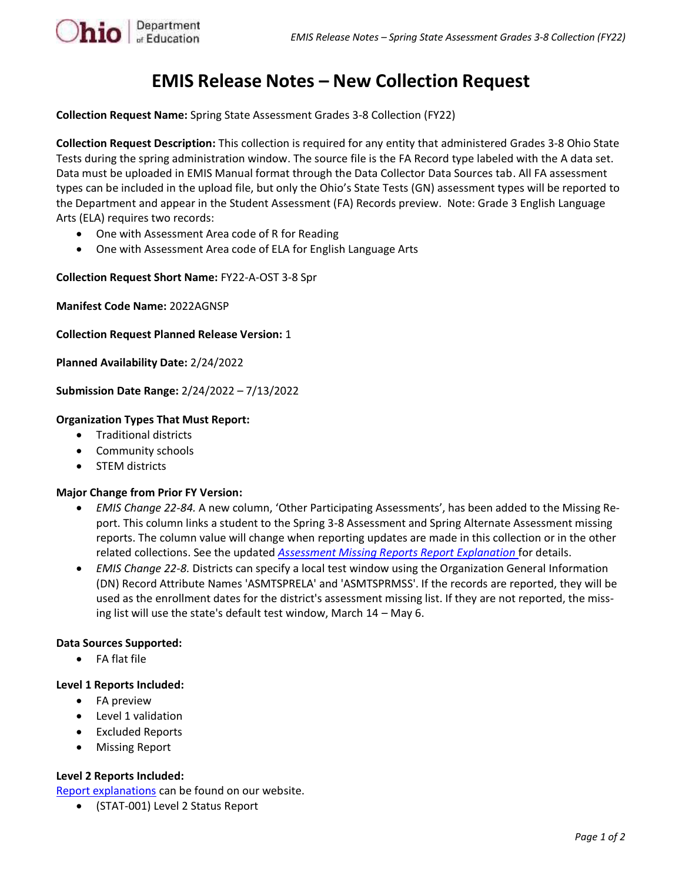

# **EMIS Release Notes – New Collection Request**

**Collection Request Name:** Spring State Assessment Grades 3-8 Collection (FY22)

**Collection Request Description:** This collection is required for any entity that administered Grades 3-8 Ohio State Tests during the spring administration window. The source file is the FA Record type labeled with the A data set. Data must be uploaded in EMIS Manual format through the Data Collector Data Sources tab. All FA assessment types can be included in the upload file, but only the Ohio's State Tests (GN) assessment types will be reported to the Department and appear in the Student Assessment (FA) Records preview. Note: Grade 3 English Language Arts (ELA) requires two records:

- One with Assessment Area code of R for Reading
- One with Assessment Area code of ELA for English Language Arts

**Collection Request Short Name:** FY22-A-OST 3-8 Spr

**Manifest Code Name:** 2022AGNSP

**Collection Request Planned Release Version:** 1

**Planned Availability Date:** 2/24/2022

**Submission Date Range:** 2/24/2022 – 7/13/2022

## **Organization Types That Must Report:**

- Traditional districts
- Community schools
- STEM districts

### **Major Change from Prior FY Version:**

- *EMIS Change 22-84.* A new column, 'Other Participating Assessments', has been added to the Missing Report. This column links a student to the Spring 3-8 Assessment and Spring Alternate Assessment missing reports. The column value will change when reporting updates are made in this collection or in the other related collections. See the updated *[Assessment Missing Reports Report Explanation](https://education.ohio.gov/Topics/Data/EMIS/EMIS-Documentation/FY16-EMIS-Validation-and-Report-Explanation-Docume)* for details.
- *EMIS Change 22-8.* Districts can specify a local test window using the Organization General Information (DN) Record Attribute Names 'ASMTSPRELA' and 'ASMTSPRMSS'. If the records are reported, they will be used as the enrollment dates for the district's assessment missing list. If they are not reported, the missing list will use the state's default test window, March 14 – May 6.

### **Data Sources Supported:**

• FA flat file

### **Level 1 Reports Included:**

- FA preview
- Level 1 validation
- **Excluded Reports**
- Missing Report

### **Level 2 Reports Included:**

[Report explanations](https://education.ohio.gov/Topics/Data/EMIS/EMIS-Documentation/FY16-EMIS-Validation-and-Report-Explanation-Docume) can be found on our website.

• (STAT-001) Level 2 Status Report